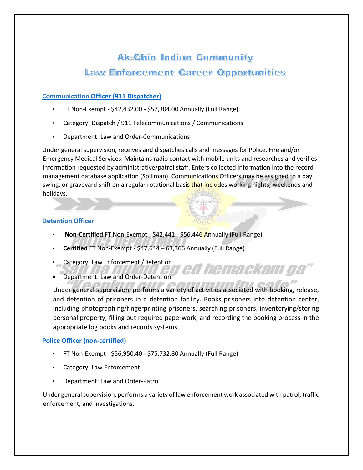# **Ak-Chin Indian Community Law Enforcement Career Opportunities**

## **[Communication](https://www.governmentjobs.com/careers/akchin/jobs/3088638/communication-officer-911-dispatcher) [Officer \(911 Dispatcher\)](https://www.governmentjobs.com/careers/akchin/jobs/3088638/communication-officer-911-dispatcher)**

- FT Non-Exempt \$42,432.00 \$57,304.00 Annually (Full Range)
- Category: Dispatch / 911 Telecommunications / Communications
- Department: Law and Order-Communications

Under general supervision, receives and dispatches calls and messages for Police, Fire and/or Emergency Medical Services. Maintains radio contact with mobile units and researches and verifies information requested by administrative/patrol staff. Enters collected information into the record management database application (Spillman). Communications Officers may be assigned to a day, swing, or graveyard shift on a regular rotational basis that includes working nights, weekends and holidays.

## **Detention Officer**

- **Non-Certified** FT Non-Exempt \$42,441 \$56,446 Annually (Full Range)
- **Certified** FT Non-Exempt \$47,644 63,366 Annually (Full Range)
- Category: Law Enforcement /Detention
- Department: Law and Order-Detention

Under general supervision, performs a variety of activities associated with booking, release, and detention of prisoners in a detention facility. Books prisoners into detention center, including photographing/fingerprinting prisoners, searching prisoners, inventorying/storing personal property, filling out required paperwork, and recording the booking process in the appropriate log books and records systems.

ed hemackam ga

#### **[Police Officer \(non-certified\)](https://www.governmentjobs.com/careers/akchin/jobs/3114955/police-officer-non-certified)**

- FT Non-Exempt \$56,950.40 \$75,732.80 Annually (Full Range)
- Category: Law Enforcement
- Department: Law and Order-Patrol

Under general supervision, performs a variety of law enforcement work associated with patrol, traffic enforcement, and investigations.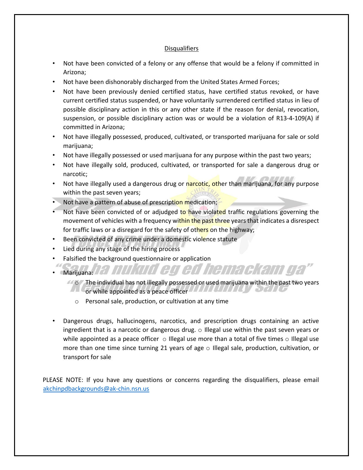#### Disqualifiers

- Not have been convicted of a felony or any offense that would be a felony if committed in Arizona;
- Not have been dishonorably discharged from the United States Armed Forces;
- Not have been previously denied certified status, have certified status revoked, or have current certified status suspended, or have voluntarily surrendered certified status in lieu of possible disciplinary action in this or any other state if the reason for denial, revocation, suspension, or possible disciplinary action was or would be a violation of R13-4-109(A) if committed in Arizona;
- Not have illegally possessed, produced, cultivated, or transported marijuana for sale or sold marijuana;
- Not have illegally possessed or used marijuana for any purpose within the past two years;
- Not have illegally sold, produced, cultivated, or transported for sale a dangerous drug or narcotic;
- Not have illegally used a dangerous drug or narcotic, other than marijuana, for any purpose within the past seven years;
- Not have a pattern of abuse of prescription medication;
- Not have been convicted of or adjudged to have violated traffic regulations governing the movement of vehicles with a frequency within the past three years that indicates a disrespect for traffic laws or a disregard for the safety of others on the highway;
- Been convicted of any crime under a domestic violence statute
- Lied during any stage of the hiring process
- Falsified the background questionnaire or application
- Marijuana: 127
	- $\sim$   $\sim$  The individual has not illegally possessed or used marijuana within the past two years or while appointed as a peace officer

nukud eg ed hemackam ga

- o Personal sale, production, or cultivation at any time
- Dangerous drugs, hallucinogens, narcotics, and prescription drugs containing an active ingredient that is a narcotic or dangerous drug. o Illegal use within the past seven years or while appointed as a peace officer  $\circ$  Illegal use more than a total of five times  $\circ$  Illegal use more than one time since turning 21 years of age  $\circ$  Illegal sale, production, cultivation, or transport for sale

PLEASE NOTE: If you have any questions or concerns regarding the disqualifiers, please email akchinpdbackgrounds@ak-chin.nsn.us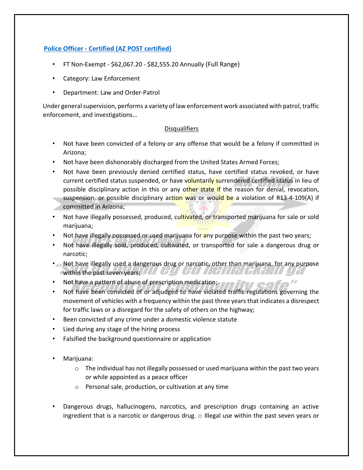# **[Police Officer - Certified \(AZ POST certified\)](https://www.governmentjobs.com/careers/akchin/jobs/3115000/police-officer-certified-az-post-certified)**

- FT Non-Exempt \$62,067.20 \$82,555.20 Annually (Full Range)
- Category: Law Enforcement
- Department: Law and Order-Patrol

Under general supervision, performs a variety of law enforcement work associated with patrol, traffic enforcement, and investigations…

#### Disqualifiers

- Not have been convicted of a felony or any offense that would be a felony if committed in Arizona;
- Not have been dishonorably discharged from the United States Armed Forces;
- Not have been previously denied certified status, have certified status revoked, or have current certified status suspended, or have voluntarily surrendered certified status in lieu of possible disciplinary action in this or any other state if the reason for denial, revocation, suspension, or possible disciplinary action was or would be a violation of R13-4-109(A) if committed in Arizona;
- Not have illegally possessed, produced, cultivated, or transported marijuana for sale or sold marijuana;
- Not have illegally possessed or used marijuana for any purpose within the past two years;
- Not have illegally sold, produced, cultivated, or transported for sale a dangerous drug or narcotic;
- Not have illegally used a dangerous drug or narcotic, other than marijuana, for any purpose within the past seven years; I LT GLS GLI III GLI III GLI III
- Not have a pattern of abuse of prescription medication; The Fig.
- Not have been convicted of or adjudged to have violated traffic regulations governing the movement of vehicles with a frequency within the past three years that indicates a disrespect for traffic laws or a disregard for the safety of others on the highway;
- Been convicted of any crime under a domestic violence statute
- Lied during any stage of the hiring process
- Falsified the background questionnaire or application
- Marijuana:
	- $\circ$  The individual has not illegally possessed or used marijuana within the past two years or while appointed as a peace officer
	- o Personal sale, production, or cultivation at any time
- Dangerous drugs, hallucinogens, narcotics, and prescription drugs containing an active ingredient that is a narcotic or dangerous drug. o Illegal use within the past seven years or